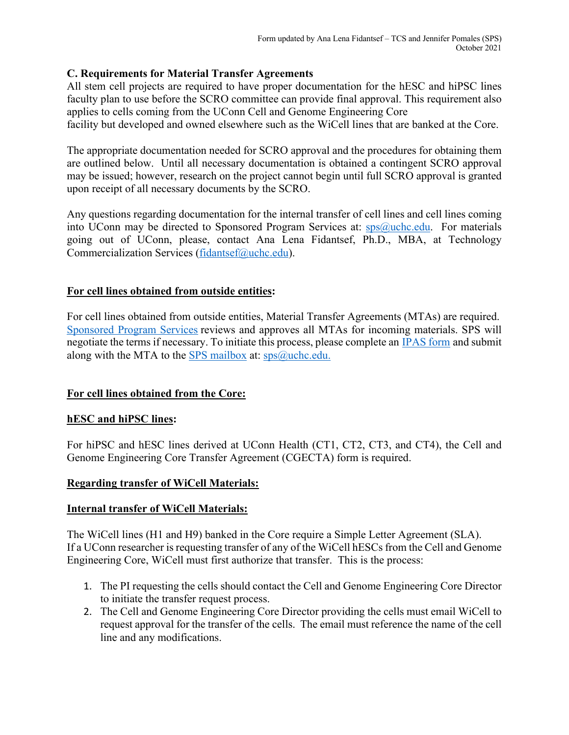## **C. Requirements for Material Transfer Agreements**

All stem cell projects are required to have proper documentation for the hESC and hiPSC lines faculty plan to use before the SCRO committee can provide final approval. This requirement also applies to cells coming from the UConn Cell and Genome Engineering Core

facility but developed and owned elsewhere such as the WiCell lines that are banked at the Core.

The appropriate documentation needed for SCRO approval and the procedures for obtaining them are outlined below. Until all necessary documentation is obtained a contingent SCRO approval may be issued; however, research on the project cannot begin until full SCRO approval is granted upon receipt of all necessary documents by the SCRO.

Any questions regarding documentation for the internal transfer of cell lines and cell lines coming into UConn may be directed to Sponsored Program Services at:  $\frac{\text{sys}}{\text{w}}$ uchc.edu. For materials going out of UConn, please, contact Ana Lena Fidantsef, Ph.D., MBA, at Technology Commercialization Services (fidantsef@uchc.edu).

### **For cell lines obtained from outside entities:**

For cell lines obtained from outside entities, Material Transfer Agreements (MTAs) are required. Sponsored Program Services reviews and approves all MTAs for incoming materials. SPS will negotiate the terms if necessary. To initiate this process, please complete an IPAS form and submit along with the MTA to the SPS mailbox at:  $\frac{\text{sps}}{a}$ uchc.edu.

### **For cell lines obtained from the Core:**

### **hESC and hiPSC lines:**

For hiPSC and hESC lines derived at UConn Health (CT1, CT2, CT3, and CT4), the Cell and Genome Engineering Core Transfer Agreement (CGECTA) form is required.

### **Regarding transfer of WiCell Materials:**

### **Internal transfer of WiCell Materials:**

The WiCell lines (H1 and H9) banked in the Core require a Simple Letter Agreement (SLA). If a UConn researcher is requesting transfer of any of the WiCell hESCs from the Cell and Genome Engineering Core, WiCell must first authorize that transfer. This is the process:

- 1. The PI requesting the cells should contact the Cell and Genome Engineering Core Director to initiate the transfer request process.
- 2. The Cell and Genome Engineering Core Director providing the cells must email WiCell to request approval for the transfer of the cells. The email must reference the name of the cell line and any modifications.